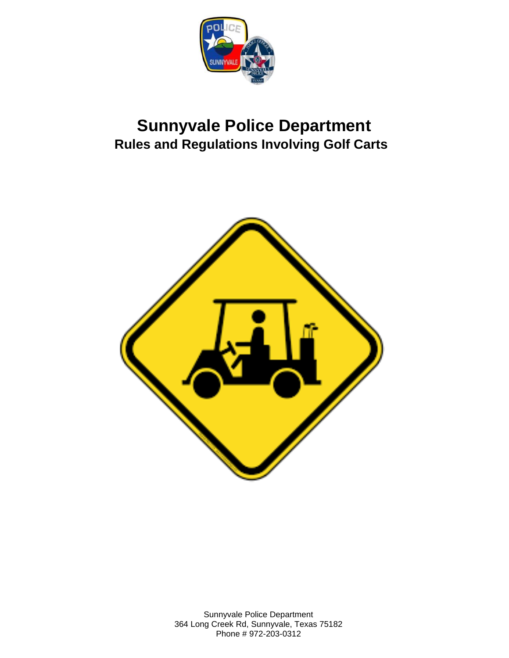

# **Sunnyvale Police Department Rules and Regulations Involving Golf Carts**



Sunnyvale Police Department 364 Long Creek Rd, Sunnyvale, Texas 75182 Phone # 972-203-0312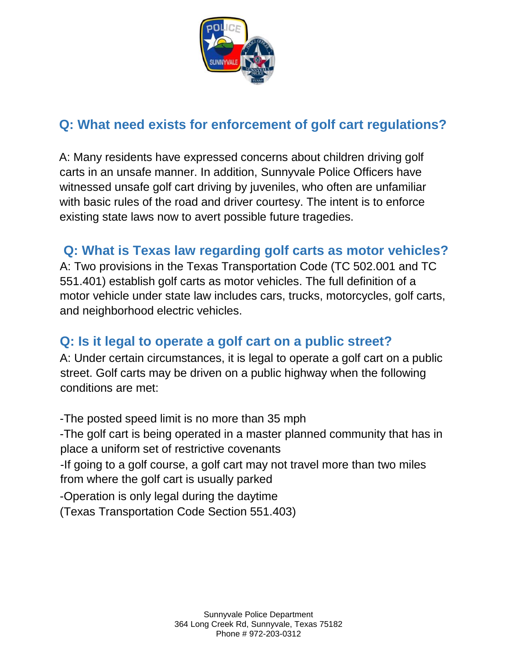

## **Q: What need exists for enforcement of golf cart regulations?**

A: Many residents have expressed concerns about children driving golf carts in an unsafe manner. In addition, Sunnyvale Police Officers have witnessed unsafe golf cart driving by juveniles, who often are unfamiliar with basic rules of the road and driver courtesy. The intent is to enforce existing state laws now to avert possible future tragedies.

#### **Q: What is Texas law regarding golf carts as motor vehicles?**

A: Two provisions in the Texas Transportation Code (TC 502.001 and TC 551.401) establish golf carts as motor vehicles. The full definition of a motor vehicle under state law includes cars, trucks, motorcycles, golf carts, and neighborhood electric vehicles.

#### **Q: Is it legal to operate a golf cart on a public street?**

A: Under certain circumstances, it is legal to operate a golf cart on a public street. Golf carts may be driven on a public highway when the following conditions are met:

-The posted speed limit is no more than 35 mph -The golf cart is being operated in a master planned community that has in place a uniform set of restrictive covenants -If going to a golf course, a golf cart may not travel more than two miles from where the golf cart is usually parked -Operation is only legal during the daytime (Texas Transportation Code Section 551.403)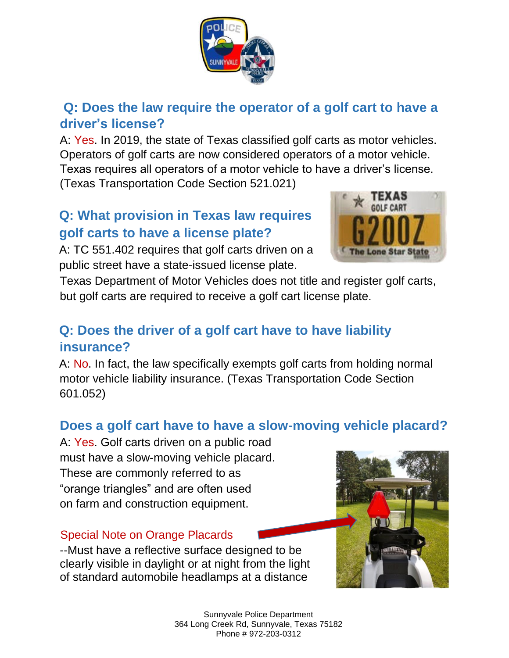

#### **Q: Does the law require the operator of a golf cart to have a driver's license?**

A: Yes. In 2019, the state of Texas classified golf carts as motor vehicles. Operators of golf carts are now considered operators of a motor vehicle. Texas requires all operators of a motor vehicle to have a driver's license. (Texas Transportation Code Section 521.021)

## **Q: What provision in Texas law requires golf carts to have a license plate?**

A: TC 551.402 requires that golf carts driven on a public street have a state-issued license plate.



Texas Department of Motor Vehicles does not title and register golf carts, but golf carts are required to receive a golf cart license plate.

## **Q: Does the driver of a golf cart have to have liability insurance?**

A: No. In fact, the law specifically exempts golf carts from holding normal motor vehicle liability insurance. (Texas Transportation Code Section 601.052)

#### **Does a golf cart have to have a slow-moving vehicle placard?**

A: Yes. Golf carts driven on a public road must have a slow-moving vehicle placard. These are commonly referred to as "orange triangles" and are often used on farm and construction equipment.

#### Special Note on Orange Placards

--Must have a reflective surface designed to be clearly visible in daylight or at night from the light of standard automobile headlamps at a distance



Sunnyvale Police Department 364 Long Creek Rd, Sunnyvale, Texas 75182 Phone # 972-203-0312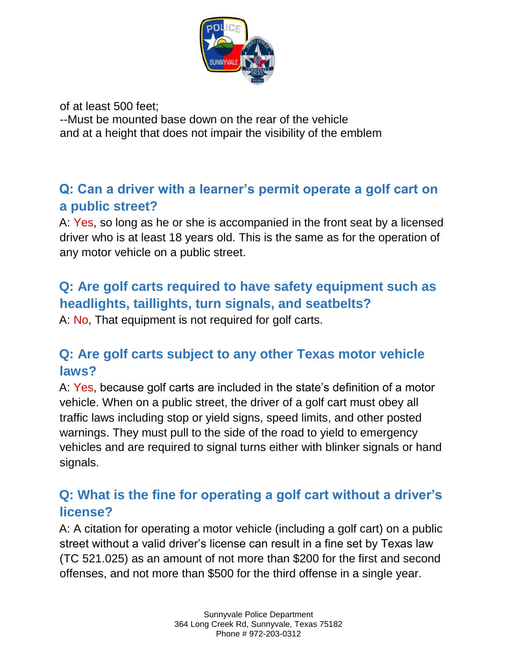

of at least 500 feet;

--Must be mounted base down on the rear of the vehicle and at a height that does not impair the visibility of the emblem

#### **Q: Can a driver with a learner's permit operate a golf cart on a public street?**

A: Yes, so long as he or she is accompanied in the front seat by a licensed driver who is at least 18 years old. This is the same as for the operation of any motor vehicle on a public street.

#### **Q: Are golf carts required to have safety equipment such as headlights, taillights, turn signals, and seatbelts?**

A: No, That equipment is not required for golf carts.

## **Q: Are golf carts subject to any other Texas motor vehicle laws?**

A: Yes, because golf carts are included in the state's definition of a motor vehicle. When on a public street, the driver of a golf cart must obey all traffic laws including stop or yield signs, speed limits, and other posted warnings. They must pull to the side of the road to yield to emergency vehicles and are required to signal turns either with blinker signals or hand signals.

#### **Q: What is the fine for operating a golf cart without a driver's license?**

A: A citation for operating a motor vehicle (including a golf cart) on a public street without a valid driver's license can result in a fine set by Texas law (TC 521.025) as an amount of not more than \$200 for the first and second offenses, and not more than \$500 for the third offense in a single year.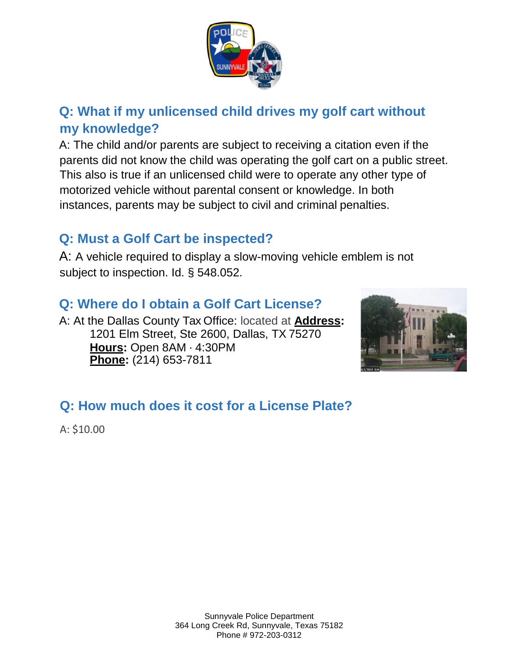

## **Q: What if my unlicensed child drives my golf cart without my knowledge?**

A: The child and/or parents are subject to receiving a citation even if the parents did not know the child was operating the golf cart on a public street. This also is true if an unlicensed child were to operate any other type of motorized vehicle without parental consent or knowledge. In both instances, parents may be subject to civil and criminal penalties.

#### **Q: Must a Golf Cart be inspected?**

A: A vehicle required to display a slow-moving vehicle emblem is not subject to inspection. Id. § 548.052.

#### **Q: Where do I obtain a Golf Cart License?**

A: At the Dallas County Tax Office: located at **Address:**  1201 Elm Street, Ste 2600, Dallas, TX 75270 **Hours:** Open 8AM ⋅ 4:30PM **Phone:** (214) 653-7811



# **Q: How much does it cost for a License Plate?**

A: \$10.00